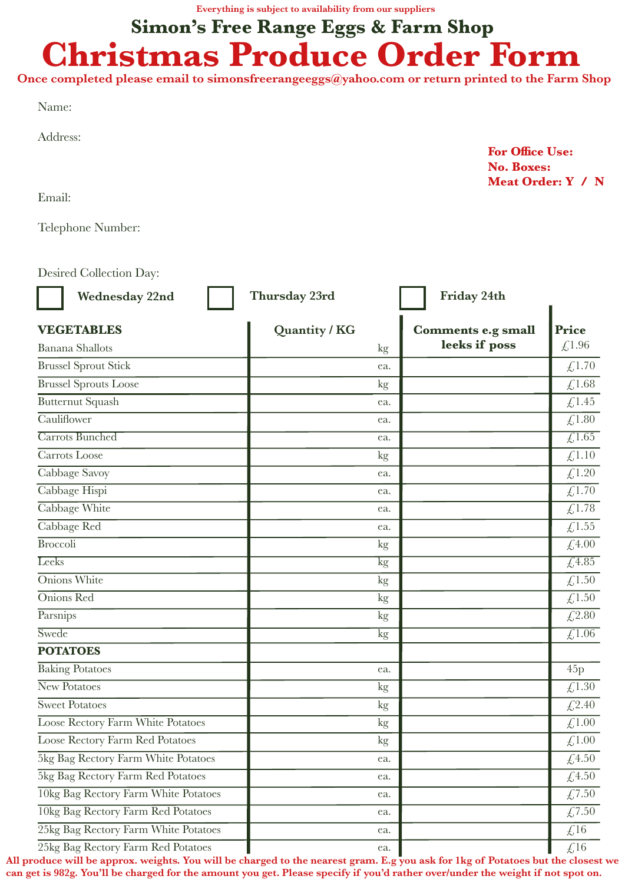**Everything is subject to availability from our suppliers**

## **Christmas Produce Order Form Simon's Free Range Eggs & Farm Shop**

**Once completed please email to simonsfreerangeeggs@yahoo.com or return printed to the Farm Shop**

| ×<br>٠<br>۰, |  |
|--------------|--|
|              |  |

Address:

**For Office Use: No. Boxes: Meat Order: Y / N**

Email:

Telephone Number:

Desired Collection Day:

| <b>Wednesday 22nd</b>                | Thursday 23rd | Friday 24th               |                              |
|--------------------------------------|---------------|---------------------------|------------------------------|
| <b>VEGETABLES</b>                    | Quantity / KG | <b>Comments e.g small</b> | <b>Price</b>                 |
| <b>Banana</b> Shallots               | kg            | leeks if poss             | £,1.96                       |
| <b>Brussel Sprout Stick</b>          | ea.           |                           | £,1.70                       |
| <b>Brussel Sprouts Loose</b>         | kg            |                           | £1.68                        |
| <b>Butternut Squash</b>              | ea.           |                           | £1.45                        |
| Cauliflower                          | ea.           |                           | £1.80                        |
| <b>Carrots Bunched</b>               | ea.           |                           | $\overline{\text{£}1.65}$    |
| Carrots Loose                        | kg            |                           | £,1.10                       |
| Cabbage Savoy                        | ea.           |                           | £,1.20                       |
| Cabbage Hispi                        | ea.           |                           | $\overline{\mathcal{L}1.70}$ |
| Cabbage White                        | ea.           |                           | £1.78                        |
| Cabbage Red                          | ea.           |                           | £,1.55                       |
| <b>Broccoli</b>                      | kg            |                           | £4.00                        |
| Leeks                                | kg            |                           | $\sqrt{4.85}$                |
| Onions White                         | kg            |                           | £,1.50                       |
| Onions Red                           | kg            |                           | £1.50                        |
| Parsnips                             | kg            |                           | £,2.80                       |
| Swede                                | kg            |                           | $\overline{\mathcal{L}1.06}$ |
| <b>POTATOES</b>                      |               |                           |                              |
| <b>Baking Potatoes</b>               | ea.           |                           | 45p                          |
| New Potatoes                         | kg            |                           | £1.30                        |
| <b>Sweet Potatoes</b>                | kg            |                           | £,2.40                       |
| Loose Rectory Farm White Potatoes    | kg            |                           | £1.00                        |
| Loose Rectory Farm Red Potatoes      | kg            |                           | £1.00                        |
| 5kg Bag Rectory Farm White Potatoes  | ea.           |                           | £4.50                        |
| 5kg Bag Rectory Farm Red Potatoes    | ea.           |                           | £4.50                        |
| 10kg Bag Rectory Farm White Potatoes | ea.           |                           | £7.50                        |
| 10kg Bag Rectory Farm Red Potatoes   | ea.           |                           | £7.50                        |
| 25kg Bag Rectory Farm White Potatoes | ea.           |                           | $\text{\textsterling}16$     |
| 25kg Bag Rectory Farm Red Potatoes   | ea.           |                           | £16                          |

**All produce will be approx. weights. You will be charged to the nearest gram. E.g you ask for 1kg of Potatoes but the closest we can get is 982g. You'll be charged for the amount you get. Please specify if you'd rather over/under the weight if not spot on.**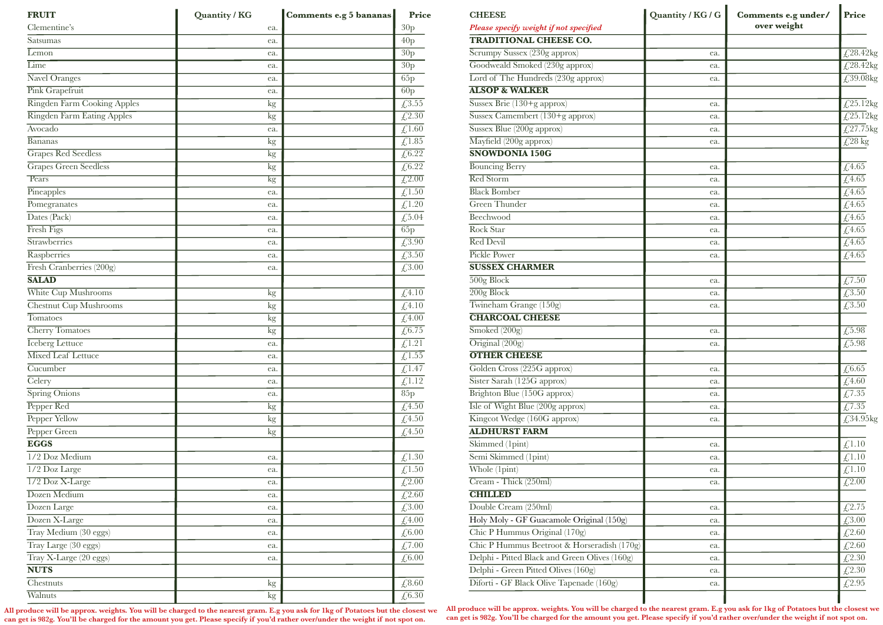| <b>FRUIT</b>                  | Quantity / KG | Comments e.g 5 bananas | Price                                 |
|-------------------------------|---------------|------------------------|---------------------------------------|
| Clementine's                  | ea.           |                        | 30p                                   |
| Satsumas                      | ea.           |                        | 40p                                   |
| $L$ <sub>emon</sub>           | ea.           |                        | 30p                                   |
| Lime                          | ea.           |                        | 30p                                   |
| Navel Oranges                 | ea.           |                        | 65p                                   |
| <b>Pink Grapefruit</b>        | ea.           |                        | 60p                                   |
| Ringden Farm Cooking Apples   | $\mathrm{kg}$ |                        | £3.55                                 |
| Ringden Farm Eating Apples    | kg            |                        | £2.30                                 |
| Avocado                       | ea.           |                        | £1.60                                 |
| Bananas                       | $\mathrm{kg}$ |                        | $\overline{\text{£}1.85}$             |
| <b>Grapes Red Seedless</b>    | $\mathrm{kg}$ |                        | $\overline{\text{\textsterling}6.22}$ |
| Grapes Green Seedless         | $\mathrm{kg}$ |                        | $\overline{\text{\textsterling}6.22}$ |
| Pears                         | kg            |                        | $\overline{\mathcal{L}2.00}$          |
| Pineapples                    | ea.           |                        | $\overline{\mathcal{L}}$ 1.50         |
| Pomegranates                  | ea.           |                        | £1.20                                 |
| Dates (Pack)                  | ea.           |                        | $\sqrt{5.04}$                         |
| Fresh Figs                    | ea.           |                        | 65p                                   |
| Strawberries                  | ea.           |                        | £3.90                                 |
| Raspberries                   | ea.           |                        | $\overline{\cancel{t}^{3.50}}$        |
| Fresh Cranberries (200g)      | ea.           |                        | £3.00                                 |
| <b>SALAD</b>                  |               |                        |                                       |
| White Cup Mushrooms           | kg            |                        | $\overline{\mathcal{L}4.10}$          |
| <b>Chestnut Cup Mushrooms</b> | kg            |                        | £4.10                                 |
| <b>Tomatoes</b>               | $\mathrm{kg}$ |                        | $\overline{\mathcal{L}^{4.00}}$       |
| <b>Cherry Tomatoes</b>        | $\mathrm{kg}$ |                        | $\sqrt{\sqrt{6.75}}$                  |
| <b>Iceberg Lettuce</b>        | ea.           |                        | £1.21                                 |
| <b>Mixed Leaf Lettuce</b>     | ea.           |                        | $\sqrt{1.55}$                         |
| Cucumber                      | ea.           |                        | $\sqrt{1.47}$                         |
| Celery                        | ea.           |                        | $\overline{\mathcal{L}^{1.12}}$       |
| Spring Onions                 | ea.           |                        | 85p                                   |
| Pepper Red                    | kg            |                        | $\overline{\mathcal{L}^{4.50}}$       |
| Pepper Yellow                 | kg            |                        | $£4.50$                               |
| Pepper Green                  | kg            |                        | £4.50                                 |
| <b>EGGS</b>                   |               |                        |                                       |
| 1/2 Doz Medium                | ea.           |                        | £1.30                                 |
| 1/2 Doz Large                 | ea.           |                        | £1.50                                 |
| 1/2 Doz X-Large               | ea.           |                        | $\overline{\mathcal{L}2.00}$          |
| Dozen Medium                  | ea.           |                        | $\overline{\mathcal{L}^{2.60}}$       |
| Dozen Large                   | ea.           |                        | £3.00                                 |
| Dozen X-Large                 | ea.           |                        | $\sqrt{4.00}$                         |
| Tray Medium (30 eggs)         | ea.           |                        | ${\not\le}6.00$                       |
| Tray Large (30 eggs)          | ea.           |                        | $\overline{\mathcal{L}7.00}$          |
| Tray X-Large (20 eggs)        | ea.           |                        | $\sqrt[6]{6.00}$                      |
| <b>NUTS</b>                   |               |                        |                                       |
| Chestnuts                     | kg            |                        | £8.60                                 |
| Walnuts                       | $\mathrm{kg}$ |                        | $\overline{\text{\textsterling}6.30}$ |

 **All produce will be approx. weights. You will be charged to the nearest gram. E.g you ask for 1kg of Potatoes but the closest we can get is 982g. You'll be charged for the amount you get. Please specify if you'd rather over/under the weight if not spot on.**

| <b>CHEESE</b>                                 | Quantity / KG / G | Comments e.g under/ | Price                                           |
|-----------------------------------------------|-------------------|---------------------|-------------------------------------------------|
| Please specify weight if not specified        |                   | over weight         |                                                 |
| <b>TRADITIONAL CHEESE CO.</b>                 |                   |                     |                                                 |
| Scrumpy Sussex (230g approx)                  | ea.               |                     | $\sqrt{\frac{28.42 \text{kg}}{2}}$              |
| Goodweald Smoked (230g approx)                | ea.               |                     | $\overline{\text{\textsterling}28.42\text{kg}}$ |
| Lord of The Hundreds (230g approx)            | ea.               |                     | $\sqrt{29.08}$ kg                               |
| <b>ALSOP &amp; WALKER</b>                     |                   |                     |                                                 |
| Sussex Brie (130+g approx)                    | ea.               |                     | £25.12 $kg$                                     |
| Sussex Camembert (130+g approx)               | ea.               |                     | $\sqrt{\frac{25.12}{9}}$                        |
| Sussex Blue (200g approx)                     | ea.               |                     | $\sqrt{27.75}$ kg                               |
| Mayfield (200g approx)                        | ea.               |                     | $\sqrt{\frac{28}{\text{kg}}}$                   |
| <b>SNOWDONIA 150G</b>                         |                   |                     |                                                 |
| <b>Bouncing Berry</b>                         | ea.               |                     | $\overline{\cancel{t}}$ 4.65                    |
| <b>Red Storm</b>                              | ea.               |                     | $\overline{\text{\textsterling}4.65}$           |
| <b>Black Bomber</b>                           | ea.               |                     | $\overline{\mathcal{L}4.65}$                    |
| <b>Green Thunder</b>                          | ea.               |                     | $\overline{\mathcal{L}^{4.65}}$                 |
| Beechwood                                     | ea.               |                     | $\sqrt{4.65}$                                   |
| Rock Star                                     | ea.               |                     | £4.65                                           |
| Red Devil                                     | ea.               |                     | $\sqrt{\sqrt{4.65}}$                            |
| Pickle Power                                  | ea.               |                     | $\sqrt{\sqrt{4.65}}$                            |
| <b>SUSSEX CHARMER</b>                         |                   |                     |                                                 |
| $500g$ Block                                  | ea.               |                     | $\overline{\text{\textsterling}}7.50$           |
| $\overline{200g}$ Block                       | ea.               |                     | $\overline{\cancel{t}^{3.50}}$                  |
| Twineham Grange (150g)                        | ea.               |                     | $\overline{\cancel{t}^{3.50}}$                  |
| <b>CHARCOAL CHEESE</b>                        |                   |                     |                                                 |
| $\overline{\text{Smoked } (200g)}$            | ea.               |                     | $\overline{\text{\textsterling}}5.98$           |
| $\overline{\text{Original } (200g)}$          | ea.               |                     | $\sqrt{5.98}$                                   |
| <b>OTHER CHEESE</b>                           |                   |                     |                                                 |
| Golden Cross (225G approx)                    | ea.               |                     | $\overline{\text{\textsterling}6.65}$           |
| Sister Sarah (125G approx)                    | ea.               |                     | £4.60                                           |
| Brighton Blue (150G approx)                   | ea.               |                     | £7.35                                           |
| Isle of Wight Blue (200g approx)              | ea.               |                     | $\overline{\mathcal{L}7.35}$                    |
| Kingcot Wedge (160G approx)                   | ea.               |                     | £34.95kg                                        |
| <b>ALDHURST FARM</b>                          |                   |                     |                                                 |
| Skimmed (1pint)                               | ea.               |                     | £1.10                                           |
| Semi Skimmed (1pint)                          | ea.               |                     | £1.10                                           |
| Whole (1pint)                                 | ea.               |                     | £1.10                                           |
| Cream - Thick (250ml)                         | ea.               |                     | $\overline{\mathcal{L}2.00}$                    |
| <b>CHILLED</b>                                |                   |                     |                                                 |
| Double Cream $(250ml)$                        | ea.               |                     | £2.75                                           |
| Holy Moly - GF Guacamole Original (150g)      | ea.               |                     | £3.00                                           |
| Chic P Hummus Original (170g)                 |                   |                     | £2.60                                           |
| Chic P Hummus Beetroot & Horseradish (170g)   | ea.               |                     | £2.60                                           |
| Delphi - Pitted Black and Green Olives (160g) | ea.               |                     |                                                 |
| Delphi - Green Pitted Olives (160g)           | ea.               |                     | £2.30<br>£2.30                                  |
| Diforti - GF Black Olive Tapenade (160g)      | ea.               |                     | £2.95                                           |
|                                               | ea.               |                     |                                                 |

**All produce will be approx. weights. You will be charged to the nearest gram. E.g you ask for 1kg of Potatoes but the closest we can get is 982g. You'll be charged for the amount you get. Please specify if you'd rather over/under the weight if not spot on.**